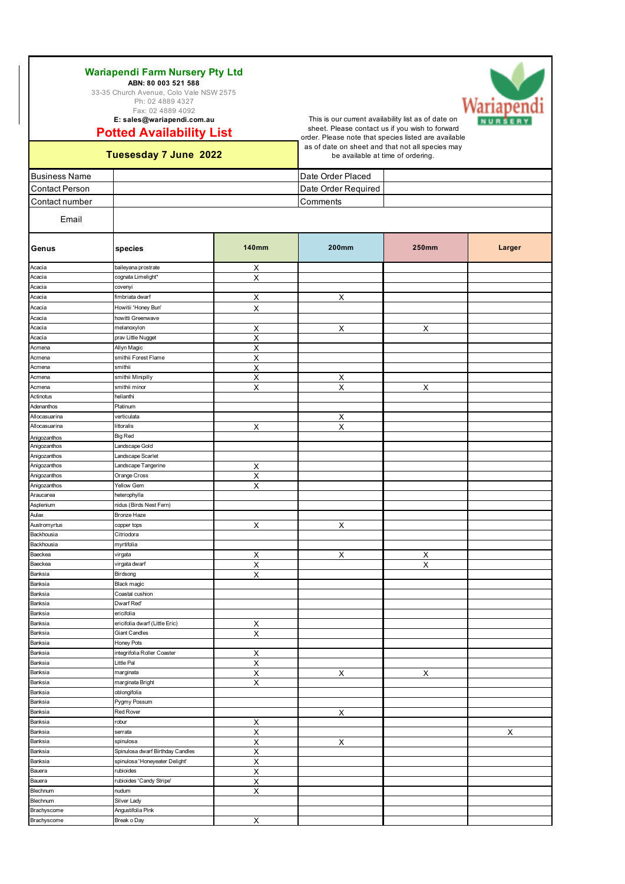Fax: 02 4889 4092 **E: sales@wariapendi.com.au**

**Potted Availability List**

### **Tuesesday 7 June**

**Business Name** Contact Person Contact number

Email

This is our current availability list as of date on sheet. Please contact us if you wish to forward as of date on sheet and that not all species may be available at time of ordering.

| LISL                                                                       | order. Please note that species listed are available                                  |                           |  |  |  |  |
|----------------------------------------------------------------------------|---------------------------------------------------------------------------------------|---------------------------|--|--|--|--|
| 2022                                                                       | as of date on sheet and that not all species may<br>be available at time of ordering. |                           |  |  |  |  |
|                                                                            | Date Order Placed                                                                     |                           |  |  |  |  |
|                                                                            | Date Order Required                                                                   |                           |  |  |  |  |
|                                                                            | Comments                                                                              |                           |  |  |  |  |
|                                                                            |                                                                                       |                           |  |  |  |  |
| $\overline{1}$ $\overline{1}$ $\overline{2}$ $\overline{3}$ $\overline{1}$ | $\sim$ $\sim$                                                                         | $\mathbf{A} = \mathbf{A}$ |  |  |  |  |

| Genus         | species                          | <b>140mm</b>              | <b>200mm</b>            | <b>250mm</b> | Larger |
|---------------|----------------------------------|---------------------------|-------------------------|--------------|--------|
| Acacia        | baileyana prostrate              | Х                         |                         |              |        |
| Acacia        | cognata Limelight*               | $\boldsymbol{\mathsf{X}}$ |                         |              |        |
| Acacia        | covenyi                          |                           |                         |              |        |
| Acacia        | fimbriata dwarf                  | Χ                         | Χ                       |              |        |
| Acacia        | Howitii 'Honey Bun'              | х                         |                         |              |        |
| Acacia        | howitti Greenwave                |                           |                         |              |        |
| Acacia        | melanoxylon                      | Х                         | X                       | х            |        |
| Acacia        | prav Little Nugget               | $\overline{\mathsf{X}}$   |                         |              |        |
| Acmena        | Allyn Magic                      | X                         |                         |              |        |
| Acmena        | smithii Forest Flame             | Χ                         |                         |              |        |
| Acmena        | smithii                          | х                         |                         |              |        |
| Acmena        | smithii Minipilly                | X                         | X                       |              |        |
| Acmena        | smithii minor                    | Х                         | X                       | Х            |        |
| Actinotus     | helianthi                        |                           |                         |              |        |
| Adenanthos    | Platinum                         |                           |                         |              |        |
| Allocasuarina | verticulata                      |                           |                         |              |        |
| Allocasuarina | littoralis                       | X                         | Х<br>$\pmb{\times}$     |              |        |
|               |                                  |                           |                         |              |        |
| Anigozanthos  | <b>Big Red</b>                   |                           |                         |              |        |
| Anigozanthos  | Landscape Gold                   |                           |                         |              |        |
| Anigozanthos  | Landscape Scarlet                |                           |                         |              |        |
| Anigozanthos  | Landscape Tangerine              | X                         |                         |              |        |
| Anigozanthos  | Orange Cross                     | Х                         |                         |              |        |
| Anigozanthos  | <b>Yellow Gem</b>                | $\sf X$                   |                         |              |        |
| Araucarea     | heterophylla                     |                           |                         |              |        |
| Asplenium     | nidus (Birds Nest Fern)          |                           |                         |              |        |
| Aulax         | Bronze Haze                      |                           |                         |              |        |
| Austromyrtus  | copper tops                      | X                         | $\times$                |              |        |
| Backhousia    | Citriodora                       |                           |                         |              |        |
| Backhousia    | myrtifolia                       |                           |                         |              |        |
| Baeckea       | virgata                          | Х                         | X                       | х            |        |
| Baeckea       | virgata dwarf                    | $\overline{\mathsf{x}}$   |                         | Χ            |        |
| Banksia       | Birdsong                         | X                         |                         |              |        |
| Banksia       | Black magic                      |                           |                         |              |        |
| Banksia       | Coastal cushion                  |                           |                         |              |        |
| Banksia       | Dwarf Red'                       |                           |                         |              |        |
| Banksia       | ericifolia                       |                           |                         |              |        |
| Banksia       | ericifolia dwarf (Little Eric)   | X                         |                         |              |        |
| Banksia       | <b>Giant Candles</b>             | X                         |                         |              |        |
| Banksia       | Honey Pots                       |                           |                         |              |        |
| Banksia       | integrifolia Roller Coaster      | х                         |                         |              |        |
| Banksia       | Little Pal                       | Χ                         |                         |              |        |
| Banksia       | marginata                        | х                         | X                       | Х            |        |
| Banksia       | marginata Bright                 | X                         |                         |              |        |
| Banksia       | oblongifolia                     |                           |                         |              |        |
| Banksia       | Pygmy Possum                     |                           |                         |              |        |
| Banksia       | <b>Red Rover</b>                 |                           | $\overline{\mathsf{X}}$ |              |        |
| Banksia       | robur                            | $\overline{\mathsf{X}}$   |                         |              |        |
| Banksia       | serrata                          | X                         |                         |              | X      |
| Banksia       | spinulosa                        | Χ                         | $\pmb{\mathsf{X}}$      |              |        |
| Banksia       | Spinulosa dwarf Birthday Candles | х                         |                         |              |        |
| Banksia       | spinulosa 'Honeyeater Delight'   | $\overline{\mathsf{X}}$   |                         |              |        |
| Bauera        | rubioides                        | X                         |                         |              |        |
| Bauera        | rubioides 'Candy Stripe'         | $\sf X$                   |                         |              |        |
| Blechnum      | nudum                            | X                         |                         |              |        |
| Blechnum      | Silver Lady                      |                           |                         |              |        |
| Brachyscome   | Angustifolia Pink                |                           |                         |              |        |
| Brachyscome   | Break o Day                      | $\boldsymbol{\mathsf{X}}$ |                         |              |        |
|               |                                  |                           |                         |              |        |

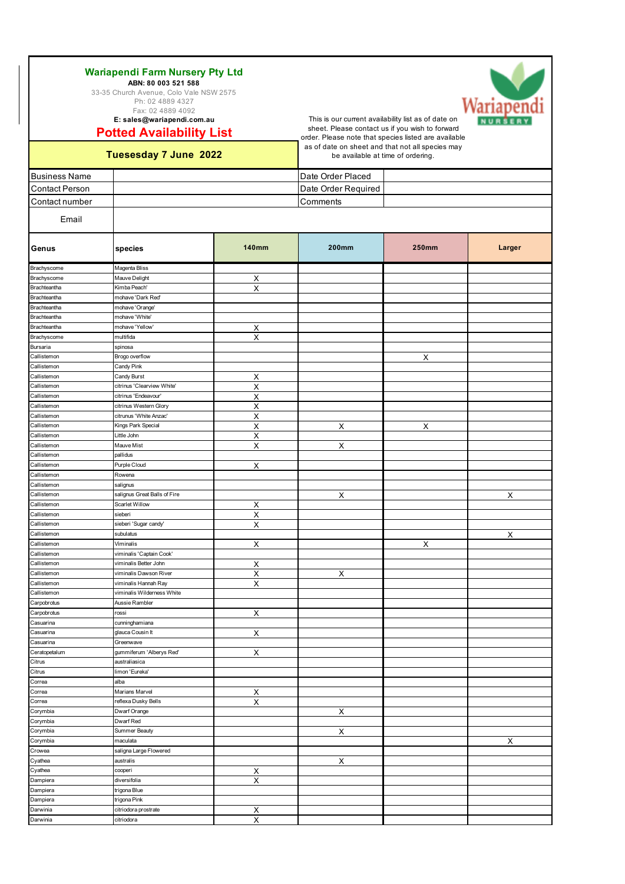Fax: 02 4889 4092 **E: sales@wariapendi.com.au**

**Potted Availability List**



Darwinia citriodora prostrate X<br>Darwinia citriodora X<br>X citriodora



This is our current availability list as of date on sheet. Please contact us if you wish to forward order. Please note that species listed are available as of date on sheet and that not all species may be available at time of ordering.

| rassocially reduce form    |                                                | be available at thrie or ordering. |                     |       |                    |  |
|----------------------------|------------------------------------------------|------------------------------------|---------------------|-------|--------------------|--|
| <b>Business Name</b>       |                                                |                                    | Date Order Placed   |       |                    |  |
| <b>Contact Person</b>      |                                                |                                    | Date Order Required |       |                    |  |
| Contact number             |                                                |                                    | Comments            |       |                    |  |
|                            |                                                |                                    |                     |       |                    |  |
| Email                      |                                                |                                    |                     |       |                    |  |
| Genus                      | species                                        | <b>140mm</b>                       | <b>200mm</b>        | 250mm | Larger             |  |
| Brachyscome                | Magenta Bliss                                  |                                    |                     |       |                    |  |
| Brachyscome                | Mauve Delight                                  | х                                  |                     |       |                    |  |
| Brachteantha               | Kimba Peach'                                   | $\overline{\mathsf{X}}$            |                     |       |                    |  |
| Brachteantha               | mohave 'Dark Red'                              |                                    |                     |       |                    |  |
| Brachteantha               | mohave 'Orange'                                |                                    |                     |       |                    |  |
| Brachteantha               | mohave 'White'                                 |                                    |                     |       |                    |  |
| Brachteantha               | mohave 'Yellow'                                | Χ                                  |                     |       |                    |  |
| Brachyscome                | multifida                                      | $\sf X$                            |                     |       |                    |  |
| Bursaria                   | spinosa                                        |                                    |                     |       |                    |  |
| Callistemon                | Brogo overflow                                 |                                    |                     | X     |                    |  |
| Callistemon<br>Callistemon | Candy Pink                                     |                                    |                     |       |                    |  |
| Callistemon                | Candy Burst<br>citrinus 'Clearview White'      | Χ                                  |                     |       |                    |  |
| Callistemon                | citrinus 'Endeavour'                           | $\overline{\mathsf{X}}$            |                     |       |                    |  |
| Callistemon                | citrinus Western Glory                         | $\overline{\mathsf{X}}$<br>Χ       |                     |       |                    |  |
| Callistemon                | citrunus 'White Anzac'                         | Χ                                  |                     |       |                    |  |
| Callistemon                | Kings Park Special                             | Χ                                  | Х                   | X     |                    |  |
| Callistemon                | Little John                                    | $\overline{\mathsf{X}}$            |                     |       |                    |  |
| Callistemon                | Mauve Mist                                     | Χ                                  | Х                   |       |                    |  |
| Callistemon                | pallidus                                       |                                    |                     |       |                    |  |
| Callistemon                | Purple Cloud                                   | X                                  |                     |       |                    |  |
| Callistemon                | Rowena                                         |                                    |                     |       |                    |  |
| Callistemon                | salignus                                       |                                    |                     |       |                    |  |
| Callistemon                | salignus Great Balls of Fire                   |                                    | X                   |       | $\pmb{\mathsf{X}}$ |  |
| Callistemon                | Scarlet Willow                                 | х                                  |                     |       |                    |  |
| Callistemon                | sieberi                                        | $\overline{\mathsf{X}}$            |                     |       |                    |  |
| Callistemon                | sieberi 'Sugar candy'                          | $\overline{\mathsf{X}}$            |                     |       |                    |  |
| Callistemon                | subulatus                                      |                                    |                     |       | Χ                  |  |
| Callistemon                | Viminalis                                      | Х                                  |                     | X     |                    |  |
| Callistemon                | viminalis 'Captain Cook'                       |                                    |                     |       |                    |  |
| Callistemon                | viminalis Better John                          | $\overline{\mathsf{X}}$            |                     |       |                    |  |
| Callistemon                | viminalis Dawson River<br>viminalis Hannah Ray | х                                  | X                   |       |                    |  |
| Callistemon<br>Callistemon | viminalis Wilderness White                     | Х                                  |                     |       |                    |  |
| Carpobrotus                | Aussie Rambler                                 |                                    |                     |       |                    |  |
| Carpobrotus                | rossi                                          | Х                                  |                     |       |                    |  |
| Casuarina                  | cunninghamiana                                 |                                    |                     |       |                    |  |
| Casuarina                  | glauca Cousin It                               | х                                  |                     |       |                    |  |
| Casuarina                  | Greenwave                                      |                                    |                     |       |                    |  |
| Ceratopetalum              | gummiferum 'Alberys Red'                       | X                                  |                     |       |                    |  |
| Citrus                     | australiasica                                  |                                    |                     |       |                    |  |
| Citrus                     | limon 'Eureka'                                 |                                    |                     |       |                    |  |
| Correa                     | alba                                           |                                    |                     |       |                    |  |
| Correa                     | Marians Marvel                                 | Х                                  |                     |       |                    |  |
| Correa                     | reflexa Dusky Bells                            | х                                  |                     |       |                    |  |
| Corymbia                   | Dwarf Orange                                   |                                    | X                   |       |                    |  |
| Corymbia                   | Dwarf Red                                      |                                    |                     |       |                    |  |
| Corymbia                   | Summer Beauty                                  |                                    | х                   |       |                    |  |
| Corymbia                   | maculata                                       |                                    |                     |       | Х                  |  |
| Crowea                     | saligna Large Flowered                         |                                    |                     |       |                    |  |
| Cyathea                    | australis                                      |                                    | X                   |       |                    |  |
| Cyathea                    | cooperi<br>diversifolia                        | х                                  |                     |       |                    |  |
| Dampiera<br>Dampiera       | trigona Blue                                   | Х                                  |                     |       |                    |  |
| Dampiera                   | trigona Pink                                   |                                    |                     |       |                    |  |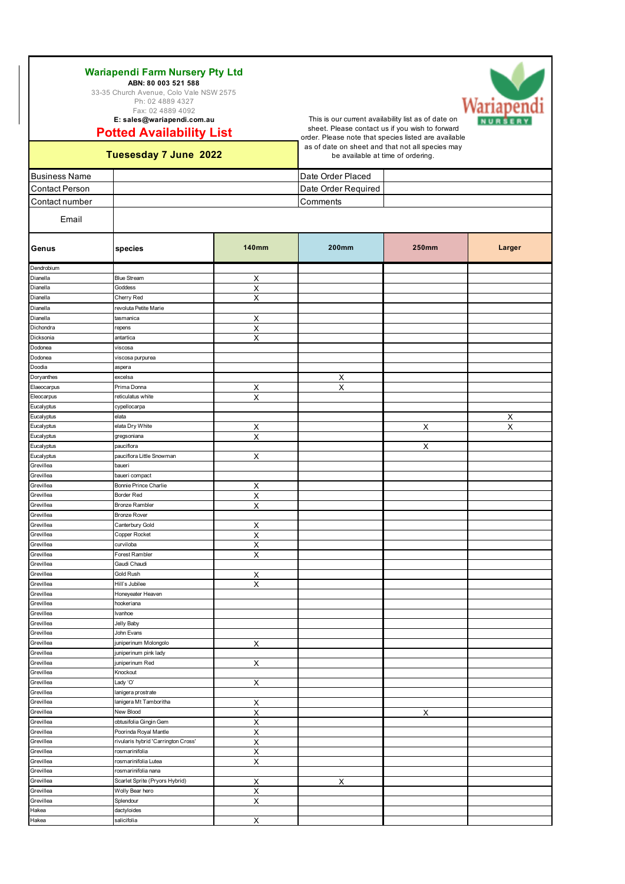Fax: 02 4889 4092

**Potted Availability List E: sales@wariapendi.com.au**

### **Tuesesday 7 June 2022**

Grevillea Splendour Splendour X

Hakea salicifolia salicifolia X

Hakea dactyloides

This is our current availability list as of date on sheet. Please contact us if you wish to forward order. Please note that species listed are available as of date on sheet and that not all species may be available at time of ordering.

| <b>Business Name</b>   |                                              |                         | Date Order Placed       |              |                |
|------------------------|----------------------------------------------|-------------------------|-------------------------|--------------|----------------|
| <b>Contact Person</b>  |                                              |                         | Date Order Required     |              |                |
| Contact number         |                                              |                         | Comments                |              |                |
|                        |                                              |                         |                         |              |                |
| Email                  |                                              |                         |                         |              |                |
| Genus                  | species                                      | <b>140mm</b>            | <b>200mm</b>            | <b>250mm</b> | Larger         |
| Dendrobium             |                                              |                         |                         |              |                |
| Dianella               | <b>Blue Stream</b>                           | Х                       |                         |              |                |
| Dianella               | Goddess                                      | $\overline{\mathsf{X}}$ |                         |              |                |
| Dianella               | Cherry Red                                   | X                       |                         |              |                |
| Dianella               | revoluta Petite Marie                        |                         |                         |              |                |
| Dianella               | tasmanica                                    | X                       |                         |              |                |
| Dichondra<br>Dicksonia | repens<br>antartica                          | $\pmb{\times}$          |                         |              |                |
| Dodonea                | viscosa                                      | X                       |                         |              |                |
| Dodonea                | viscosa purpurea                             |                         |                         |              |                |
| Doodia                 | aspera                                       |                         |                         |              |                |
| Doryanthes             | excelsa                                      |                         | $\overline{\mathsf{X}}$ |              |                |
| Elaeocarpus            | Prima Donna                                  | X                       | Χ                       |              |                |
| Eleocarpus             | reticulatus white                            | $\pmb{\times}$          |                         |              |                |
| Eucalyptus             | cypellocarpa                                 |                         |                         |              |                |
| Eucalyptus             | elata                                        |                         |                         |              | $\overline{X}$ |
| Eucalyptus             | elata Dry White                              | х                       |                         | X            | Χ              |
| Eucalyptus             | gregsoniana                                  | Χ                       |                         |              |                |
| Eucalyptus             | pauciflora                                   |                         |                         | X            |                |
| Eucalyptus             | pauciflora Little Snowman                    | X                       |                         |              |                |
| Grevillea              | baueri                                       |                         |                         |              |                |
| Grevillea              | baueri compact                               |                         |                         |              |                |
| Grevillea              | Bonnie Prince Charlie                        | Х                       |                         |              |                |
| Grevillea              | Border Red                                   | $\overline{\mathsf{x}}$ |                         |              |                |
| Grevillea<br>Grevillea | <b>Bronze Rambler</b><br><b>Bronze Rover</b> | $\pmb{\times}$          |                         |              |                |
| Grevillea              | Canterbury Gold                              | X                       |                         |              |                |
| Grevillea              | Copper Rocket                                | Χ                       |                         |              |                |
| Grevillea              | curviloba                                    | X                       |                         |              |                |
| Grevillea              | Forest Rambler                               | $\pmb{\times}$          |                         |              |                |
| Grevillea              | Gaudi Chaudi                                 |                         |                         |              |                |
| Grevillea              | Gold Rush                                    | $\overline{\mathsf{X}}$ |                         |              |                |
| Grevillea              | Hill's Jubilee                               | Χ                       |                         |              |                |
| Grevillea              | Honeyeater Heaven                            |                         |                         |              |                |
| Grevillea              | hookeriana                                   |                         |                         |              |                |
| Grevillea              | Ivanhoe                                      |                         |                         |              |                |
| Grevillea              | Jelly Baby                                   |                         |                         |              |                |
| Grevillea              | John Evans                                   |                         |                         |              |                |
| Grevillea              | juniperinum Molongolo                        | Х                       |                         |              |                |
| Grevillea              | juniperinum pink lady                        |                         |                         |              |                |
| Grevillea              | juniperinum Red                              | Х                       |                         |              |                |
| Grevillea<br>Grevillea | Knockout<br>Lady 'O'                         |                         |                         |              |                |
| Grevillea              | lanigera prostrate                           | Х                       |                         |              |                |
| Grevillea              | lanigera Mt Tamboritha                       | X                       |                         |              |                |
| Grevillea              | New Blood                                    | $\pmb{\times}$          |                         | X            |                |
| Grevillea              | obtusifolia Gingin Gem                       | X                       |                         |              |                |
| Grevillea              | Poorinda Royal Mantle                        | Χ                       |                         |              |                |
| Grevillea              | rivularis hybrid 'Carrington Cross'          | Χ                       |                         |              |                |
| Grevillea              | rosmarinifolia                               | Χ                       |                         |              |                |
| Grevillea              | rosmarinifolia Lutea                         | Х                       |                         |              |                |
| Grevillea              | rosmarinifolia nana                          |                         |                         |              |                |
| Grevillea              | Scarlet Sprite (Pryors Hybrid)               | $\times$                | $\overline{\mathsf{X}}$ |              |                |
| Grevillea              | Wolly Bear hero                              | X                       |                         |              |                |

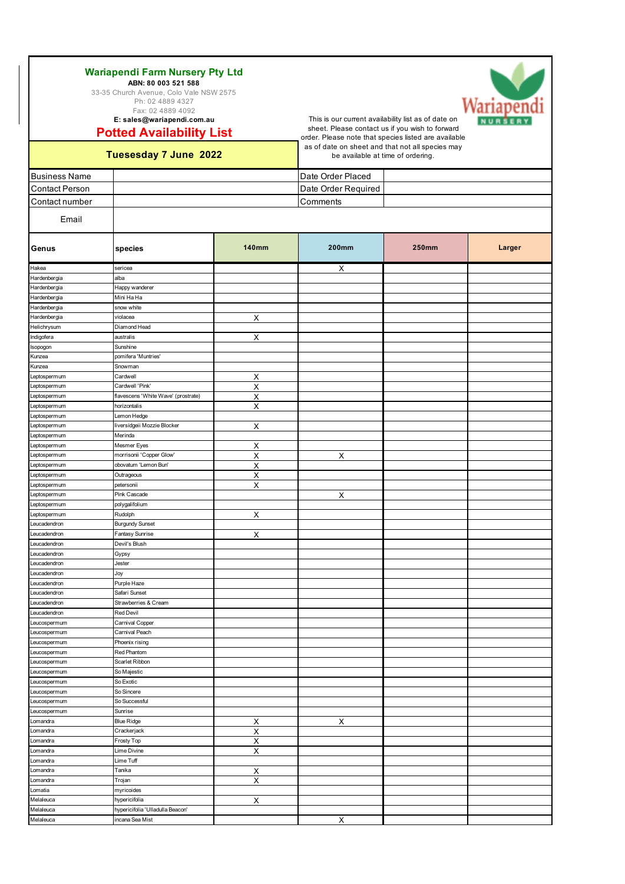| Wariapendi Farm Nursery Pty Ltd         |  |  |  |  |  |  |
|-----------------------------------------|--|--|--|--|--|--|
| ABN: 80 003 521 588                     |  |  |  |  |  |  |
| 33-35 Church Avenue, Colo Vale NSW 2575 |  |  |  |  |  |  |
| Ph: 02 4889 4327                        |  |  |  |  |  |  |
|                                         |  |  |  |  |  |  |

Fax: 02 4889 4092 **E: sales@wariapendi.com.au**

## **Potted Availability List**

sheet. Please contact us if you wish to forward order. Please note that species listed are available as of date on sheet and that not all species may be available at time of ordering.

This is our current availability list as of date on

**Tuesesday 7 June 2022**

Melaleuca incana Sea Mist **incana Sea Mist** X

| <b>Business Name</b>         |                                     |                         | Date Order Placed   |              |        |  |
|------------------------------|-------------------------------------|-------------------------|---------------------|--------------|--------|--|
| <b>Contact Person</b>        |                                     |                         | Date Order Required |              |        |  |
|                              |                                     |                         |                     |              |        |  |
| Contact number               | Comments                            |                         |                     |              |        |  |
| Email                        |                                     |                         |                     |              |        |  |
| Genus                        | species                             | <b>140mm</b>            | <b>200mm</b>        | <b>250mm</b> | Larger |  |
| Hakea                        | sericea                             |                         | х                   |              |        |  |
| Hardenbergia                 | alba                                |                         |                     |              |        |  |
| Hardenbergia                 | Happy wanderer                      |                         |                     |              |        |  |
| Hardenbergia                 | Mini Ha Ha                          |                         |                     |              |        |  |
| Hardenbergia                 | snow white                          |                         |                     |              |        |  |
| Hardenbergia                 | violacea                            | Х                       |                     |              |        |  |
| Helichrysum                  | Diamond Head                        |                         |                     |              |        |  |
| Indigofera                   | australis                           | X                       |                     |              |        |  |
| Isopogon                     | Sunshine                            |                         |                     |              |        |  |
| Kunzea                       | pomifera 'Muntries'                 |                         |                     |              |        |  |
| Kunzea                       | Snowman                             |                         |                     |              |        |  |
| Leptospermum                 | Cardwell                            | Х                       |                     |              |        |  |
| Leptospermum                 | Cardwell 'Pink'                     | Χ                       |                     |              |        |  |
| Leptospermum                 | flavescens 'White Wave' (prostrate) | $\overline{\mathsf{X}}$ |                     |              |        |  |
| Leptospermum<br>Leptospermum | horizontalis<br>Lemon Hedge         | Χ                       |                     |              |        |  |
| Leptospermum                 | liversidgeii Mozzie Blocker         | X                       |                     |              |        |  |
| Leptospermum                 | Merinda                             |                         |                     |              |        |  |
| Leptospermum                 | Mesmer Eyes                         | Х                       |                     |              |        |  |
| Leptospermum                 | morrisonii 'Copper Glow'            | Χ                       | Χ                   |              |        |  |
| Leptospermum                 | obovatum 'Lemon Bun'                | Χ                       |                     |              |        |  |
| Leptospermum                 | Outrageous                          | Х                       |                     |              |        |  |
| Leptospermum                 | petersonii                          | Χ                       |                     |              |        |  |
| Leptospermum                 | Pink Cascade                        |                         | Х                   |              |        |  |
| Leptospermum                 | polygalifolium                      |                         |                     |              |        |  |
| Leptospermum                 | Rudolph                             | Х                       |                     |              |        |  |
| Leucadendron                 | <b>Burgundy Sunset</b>              |                         |                     |              |        |  |
| Leucadendron                 | Fantasy Sunrise                     | $\overline{\mathsf{X}}$ |                     |              |        |  |
| Leucadendron                 | Devil's Blush                       |                         |                     |              |        |  |
| Leucadendron                 | Gypsy                               |                         |                     |              |        |  |
| Leucadendron                 | Jester                              |                         |                     |              |        |  |
| Leucadendron                 | Joy                                 |                         |                     |              |        |  |
| Leucadendron                 | Purple Haze                         |                         |                     |              |        |  |
| Leucadendron                 | Safari Sunset                       |                         |                     |              |        |  |
| Leucadendron                 | Strawberries & Cream                |                         |                     |              |        |  |
| Leucadendron                 | <b>Red Devil</b>                    |                         |                     |              |        |  |
| Leucospermum                 | Carnival Copper                     |                         |                     |              |        |  |
| Leucospermum                 | Carnival Peach                      |                         |                     |              |        |  |
| Leucospermum                 | Phoenix rising                      |                         |                     |              |        |  |
| Leucospermum                 | Red Phantom                         |                         |                     |              |        |  |
| Leucospermum                 | Scarlet Ribbon                      |                         |                     |              |        |  |
| Leucospermum<br>Leucospermum | So Majestic<br>So Exotic            |                         |                     |              |        |  |
|                              | So Sincere                          |                         |                     |              |        |  |
| Leucospermum<br>Leucospermum | So Successful                       |                         |                     |              |        |  |
| Leucospermum                 | Sunrise                             |                         |                     |              |        |  |
| Lomandra                     | <b>Blue Ridge</b>                   | X                       | Х                   |              |        |  |
| Lomandra                     | Crackerjack                         | $\overline{\mathsf{x}}$ |                     |              |        |  |
| Lomandra                     | Frosty Top                          | х                       |                     |              |        |  |
| Lomandra                     | Lime Divine                         | $\overline{\mathsf{x}}$ |                     |              |        |  |
| Lomandra                     | Lime Tuff                           |                         |                     |              |        |  |
| Lomandra                     | Tanika                              | Х                       |                     |              |        |  |
| Lomandra                     | Trojan                              | X                       |                     |              |        |  |
| Lomatia                      | myricoides                          |                         |                     |              |        |  |
| Melaleuca                    | hypericifolia                       | X                       |                     |              |        |  |
| Melaleuca                    | hypericifolia 'Ulladulla Beacon'    |                         |                     |              |        |  |

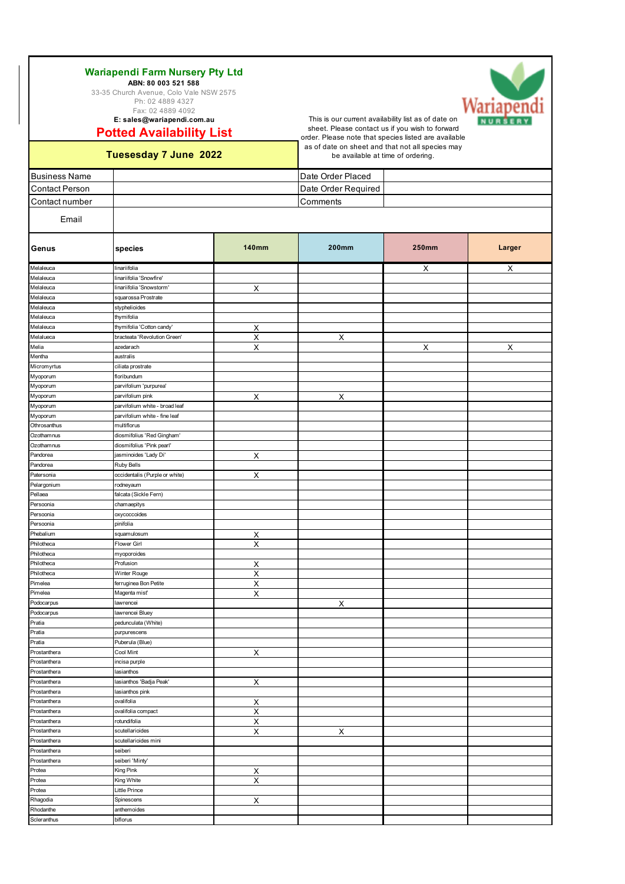Fax: 02 4889 4092 **E: sales@wariapendi.com.au**

## **Potted Availability List**

This is our current availability list as of date on sheet. Please contact us if you wish to forward order. Please note that species listed are available as of date on sheet and that not all species may be available at time of ordering.

### **Tuesesday 7 June 2022**

Scleranthus biflorus

| <b>Business Name</b>   |                                      |                         | Date Order Placed   |              |        |  |
|------------------------|--------------------------------------|-------------------------|---------------------|--------------|--------|--|
| <b>Contact Person</b>  |                                      |                         | Date Order Required |              |        |  |
| Contact number         |                                      |                         | Comments            |              |        |  |
|                        |                                      |                         |                     |              |        |  |
| Email                  |                                      |                         |                     |              |        |  |
| Genus                  | species                              | <b>140mm</b>            | <b>200mm</b>        | <b>250mm</b> | Larger |  |
| Melaleuca              | linariifolia                         |                         |                     | $\mathsf{X}$ | X      |  |
| Melaleuca              | linariifolia 'Snowfire'              |                         |                     |              |        |  |
| Melaleuca              | linariifolia 'Snowstorm'             | X                       |                     |              |        |  |
| Melaleuca              | squarossa Prostrate                  |                         |                     |              |        |  |
| Melaleuca              | styphelioides                        |                         |                     |              |        |  |
| Melaleuca              | thymifolia                           |                         |                     |              |        |  |
| Melaleuca              | thymifolia 'Cotton candy'            | X                       |                     |              |        |  |
| Melalueca              | bracteata 'Revolution Green'         | $\overline{\mathsf{x}}$ | Χ                   |              |        |  |
| Melia                  | azedarach                            | Χ                       |                     | X            | Х      |  |
| Mentha                 | australis                            |                         |                     |              |        |  |
| Micromyrtus            | ciliata prostrate                    |                         |                     |              |        |  |
| Myoporum               | floribundum                          |                         |                     |              |        |  |
| Myoporum               | parvifolium 'purpurea'               |                         |                     |              |        |  |
| Myoporum               | parvifolium pink                     | Χ                       | Χ                   |              |        |  |
| Myoporum               | parvifolium white - broad leaf       |                         |                     |              |        |  |
| Myoporum               | parvifolium white - fine leaf        |                         |                     |              |        |  |
| Othrosanthus           | multiflorus                          |                         |                     |              |        |  |
| Ozothamnus             | diosmifolius 'Red Gingham'           |                         |                     |              |        |  |
| Ozothamnus             | diosmifolius 'Pink pearl'            |                         |                     |              |        |  |
| Pandorea               | jasminoides 'Lady Di'                | X                       |                     |              |        |  |
| Pandorea<br>Patersonia | Ruby Bells                           |                         |                     |              |        |  |
|                        | occidentalis (Purple or white)       | $\pmb{\times}$          |                     |              |        |  |
| Pelargonium            | rodneyaum                            |                         |                     |              |        |  |
| Pellaea<br>Persoonia   | falcata (Sickle Fern)<br>chamaepitys |                         |                     |              |        |  |
| Persoonia              | oxycoccoides                         |                         |                     |              |        |  |
| Persoonia              | pinifolia                            |                         |                     |              |        |  |
| Phebalium              | squamulosum                          | X                       |                     |              |        |  |
| Philotheca             | Flower Girl                          | $\pmb{\times}$          |                     |              |        |  |
| Philotheca             | myoporoides                          |                         |                     |              |        |  |
| Philotheca             | Profusion                            | X                       |                     |              |        |  |
| Philotheca             | Winter Rouge                         | Χ                       |                     |              |        |  |
| Pimelea                | ferruginea Bon Petite                | Χ                       |                     |              |        |  |
| Pimelea                | Magenta mist'                        | Χ                       |                     |              |        |  |
| Podocarpus             | lawrencei                            |                         | Χ                   |              |        |  |
| Podocarpus             | lawrencei Bluey                      |                         |                     |              |        |  |
| Pratia                 | pedunculata (White)                  |                         |                     |              |        |  |
| Pratia                 | purpurescens                         |                         |                     |              |        |  |
| Pratia                 | Puberula (Blue)                      |                         |                     |              |        |  |
| Prostanthera           | Cool Mint                            | Χ                       |                     |              |        |  |
| Prostanthera           | incisa purple                        |                         |                     |              |        |  |
| Prostanthera           | lasianthos                           |                         |                     |              |        |  |
| Prostanthera           | lasianthos 'Badja Peak'              | Х                       |                     |              |        |  |
| Prostanthera           | lasianthos pink                      |                         |                     |              |        |  |
| Prostanthera           | ovalifolia                           | X                       |                     |              |        |  |
| Prostanthera           | ovalifolia compact                   | х                       |                     |              |        |  |
| Prostanthera           | rotundifolia                         | х                       |                     |              |        |  |
| Prostanthera           | scutellarioides                      | Χ                       | Х                   |              |        |  |
| Prostanthera           | scutellarioides mini                 |                         |                     |              |        |  |
| Prostanthera           | seiberi                              |                         |                     |              |        |  |
| Prostanthera           | seiberi 'Minty'                      |                         |                     |              |        |  |
| Protea                 | King Pink                            | X                       |                     |              |        |  |
| Protea                 | King White                           | Χ                       |                     |              |        |  |
| Protea                 | Little Prince                        |                         |                     |              |        |  |
| Rhagodia               | Spinescens                           | X                       |                     |              |        |  |
| Rhodanthe              | anthemoides                          |                         |                     |              |        |  |